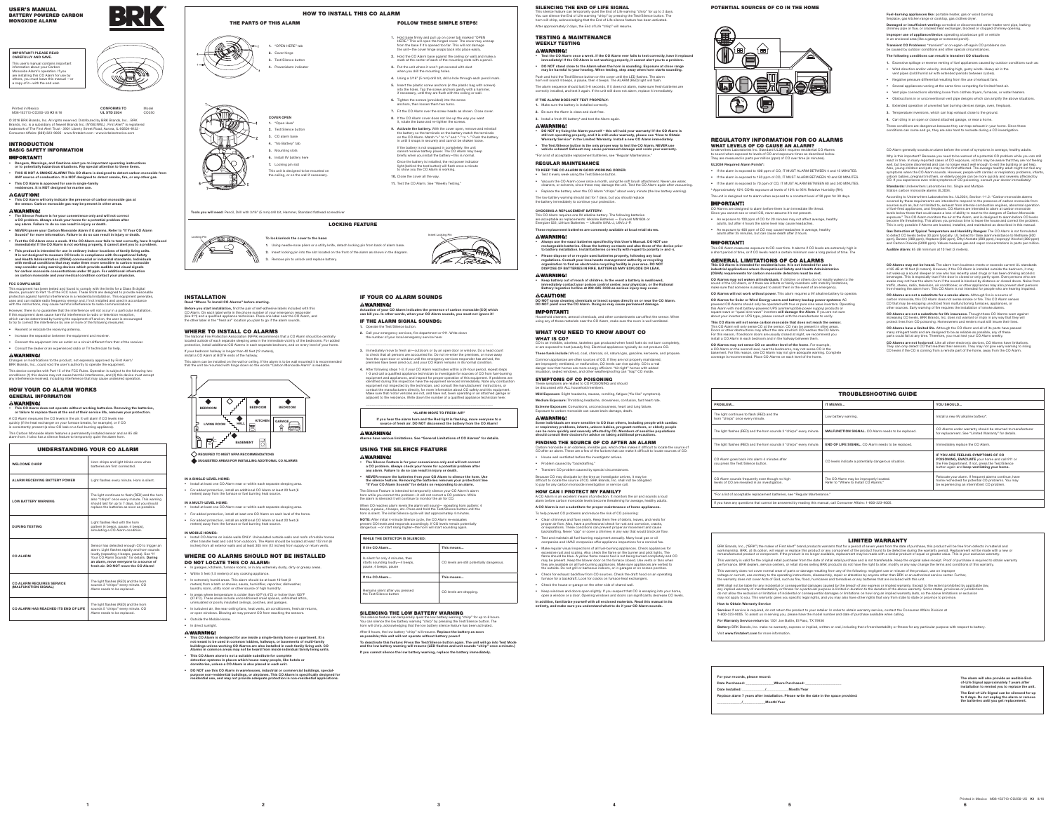#### USER'S MANUAL BATTERY POWERED CARBON MONOXIDE ALARM

### IMPORTANT! PLEASE READ CAREFULLY AND SAVE.

his user's manual contains information about your Carbon Monoxide Alarm's operation. If you are installing this CO Alarm for use by others, you must leave this manual —or a copy of it—with the end user.

Printed in Mexico<br>M08-152713-CO250-US **K1** 8/16 CONFORMS TO UL STD 2034  $CO250$ © 2016 BRK Brands, Inc. All rights reserved. Distributed by BRK Brands, Inc. • BRK Brands, Inc. is a subsidiary of Newell Brands Inc. (NYSE:NWL) · First Alert® is registered<br>trademark of The First Alert Trust · 3901 Liberty Street Road, Aurora, IL 60504-9122 ·<br>Consumer Affairs: (800) 323-9005 · www.first

- Da Dangers, Warnings, and Cautions alert you to important operating instructions or to potentially hazardous situations. Pay special attention to these items.
- THIS IS NOT A SMOKE ALARM! This CO Alarm is designed to detect carbon monoxide from ANY source of combustion. It is NOT designed to detect smoke, fire, or any other gas.
- This CO Alarm is approved for use in single-family residences. It is NOT designed for marine use.
- **ACAUTION!**

# Model



#### INTRODUCTION BASIC SAFETY INFORMATION

#### **IMPORTANT!**

#### • This CO Alarm will only indicate the presence of carbon monoxide gas at

- the sensor. Carbon monoxide gas may be present in other areas **AWARNING!**
- The Silence Feature is for your convenience only and will not correct
- a CO problem. Always check your home for a potential problem after any alarm. Failure to do so can result in injury or death. • NEVER ignore your Carbon Monoxide Alarm if it alarms. Refer to "If Your CO Alarm
- ation. Failure to do so can result in injury or dea
- Test the CO Alarm once a week. If the CO Alarm ever fails to test correctly, have it replaced immediately! If the CO Alarm is not working properly, it cannot alert you to a problem. • This product is intended for use in ordinary indoor locations of family living units.
- It is not designed to measure CO levels in compliance with Occupational Safety<br>and Health Administration (OSHA) commercial or industrial standards. Individuals<br>with medical conditions that may make them more sensitive to c

GENERAL INFORMATION **AWARNING!** 

A CO Alarm measures the CO levels in the air. It will alarm if CO levels quickly (if the heat exchanger on your furnace breaks, for example), or if CO is consistently present (a slow CO leak on a fuel-burning appliance).

#### FCC COMPLIANCE

This equipment has been tested and found to comply with the limits for a Class B digital<br>device, pursuant to Part 15 of the FCC rules. These limits are designed to provide reasonable<br>protection against harmful interference However, there is no guarantee that the interference will not occur in a particular installation. If this equipment does cause harmful interference to radio or television reception,<br>which can be determined by turning the equipment off and on, the user is encouraged<br>to try to correct the interference by one or more of t

This silence feature can temporarily quiet the End of Life warning "chirp" for up to 2 days.<br>You can silence the End of Life warning "chirp" by pressing the Test/Silence button. The<br>horn will chirp, acknowledging that the After approximately 2 days, the End of Life "chirp" will resume.

- Reorient or relocate the receiving antenna.
- Increase the separation between the equipment and receiver. • Connect the equipment into an outlet on a circuit different from that of the receiver.
- Consult the dealer or an experienced radio or TV technician for help.

#### **AWARNING!**

### ● DO NOT try fixing the Alarm yourself – this will void your warranty! If the CO Alarm is<br>still not operating properly, and it is still under warranty, please see "How to Obtain<br>Warranty Service" in the Limited Warranty. • The Test/Silence button is the only proper way to test the CO Alarm. NEVER use vehicle exhaust! Exhaust may cause permanent damage and voids your warranty. \*For a list of acceptable replacement batteries, see "Regular Maintenance."

- Changes or modifications to the product, not expressly approved by First Alert / BRK Brands, Inc., could void the user's authority to operate the equipment.
- This device complies with Part 15 of the FCC Rules. Operation is subject to the following two conditions: (1) this device may not cause harmful interference, and (2) this device must accept any interference received, including interference that may cause undesired operation.

## HOW YOUR CO ALARM WORKS

## • This CO Alarm does not operate without working batteries. Removing the batteries, or failure to replace them at the end of their service life, removes your protection.

• Always use the exact batteries specified by this User's Manual. DO NOT use rechargeable batteries. Clean the battery contacts and also those of the device prior to battery installation. Install batteries correctly with regard to polarity (+ and -). • Please dispose of or recycle used batteries properly, following any local<br>regulations. Consult your local waste management authority or recycling<br>organization to find an electronics recycling facility in your area. DO NO

- Keep battery out of reach of children. In the event a battery is swallowed,<br>immediately contact your poison control center, your physician, or the National<br>Battery Ingestion hotline at 202-625-3333 as serious injury may

This Carbon Monoxide Alarm features a permanently installed sensor and an 85 dB alarm horn. It also has a silence feature to temporarily quiet the alarm horn.

DO NOT spray cleaning chemicals or insect sprays directly on or near the CO Alarm. DO NOT paint over the CO Alarm. Doing so may cause permanent damage. **IMPORTANT!** 

## Household cleaners, aerosol chemicals, and other contaminants can affect the sensor. When<br>using any of these materials near the CO Alarm, make sure the room is well ventilated.

manece are crien cearece or clorin may are not properly mamame.<br>Iv ventilated, or malfunction, CO levels can rise quickly. CO is a rea danger now that homes are more energy efficient. "Air-tight" homes with added insulation, sealed windows, and other weatherproofing can "trap" CO inside.

#### **SYMPTOMS OF CO POISONING**<br>These symptoms are related to CO POISONING and should These symptoms are related to CO POISONING and should be discussed with ALL household members.

Mild Exposure: Slight headache, nausea, vomiting, fatigue ("flu-like" symptoms). Medium Exposure: Throbbing headache, drowsiness, confusion, fast heart rate. **Extreme Exposure:** Convulsions, unconsciousness, heart and lung failure.<br>Exposure to carbon monoxide can cause brain damage, death.

| UNDERSTANDING YOUR CO ALARM                       |                                                                                                                                                                                                                                                                          |
|---------------------------------------------------|--------------------------------------------------------------------------------------------------------------------------------------------------------------------------------------------------------------------------------------------------------------------------|
| <b>WELCOME CHIRP</b>                              | Horn chirps and light blinks once when<br>batteries are first connected.                                                                                                                                                                                                 |
| <b>ALARM RECEIVING BATTERY POWER</b>              | Light flashes every minute. Horn is silent.                                                                                                                                                                                                                              |
| <b>LOW BATTERY WARNING</b>                        | The light continues to flash (RED) and the horn<br>also "chirps" once every minute. This warning<br>should last for up to 7 days, but you should<br>replace the batteries as soon as possible.                                                                           |
| <b>DURING TESTING</b>                             | Light flashes Red with the horn<br>pattern (4 beeps, pause, 4 beeps),<br>simulating a CO Alarm condition.                                                                                                                                                                |
| CO ALARM                                          | Sensor has detected enough CO to trigger an<br>alarm. Light flashes rapidly and horn sounds<br>loudly (repeating 4 beeps, pause). See "If<br>Your CO Alarm Sounds" for details. During<br>an alarm, move everyone to a source of<br>fresh air. DO NOT move the CO Alarm! |
| CO ALARM REQUIRES SERVICE<br>(MALFUNCTION SIGNAL) | The light flashes (RED) and the horn<br>sounds 3 "chirps" every minute. CO<br>Alarm needs to be replaced.                                                                                                                                                                |
| CO ALARM HAS REACHED ITS END OF LIFE              | The light flashes (RED) and the horn<br>sounds 5 "chirps" every minute. CO<br>Alarm needs to be replaced.                                                                                                                                                                |

#### Some individuals are more sensitive to CO than others, including people with cardiac or respiratory problems, infants, unborn babies, pregnant mothers, or elderly people<br>can be more quickly and severely affected by CO. Members of sensitive populations<br>should consult their doctors for advice on taking addit

**FINDING THE SOURCE OF CO AFTER AN ALARM**<br>Carbon monoxide is an odorless, invisible gas, which often makes it difficult to locate the source o Carbon monoxide is an odorless, invisible gas, which often makes it difficult to locate the source of CO after an alarm. These are a few of the factors that can make it difficult to locate sources of CO:

SILENCING THE END OF LIFE SIGNAL

### TESTING & MAINTENANCE WEEKLY TESTING

## **AWARNING!**

• Test the CO Alarm once a week. If the CO Alarm ever fails to test correctly, have it replaced immediately! If the CO Alarm is not working properly, it cannot alert you to a problem. • DO NOT stand close to the Alarm when the horn is sounding. Exposure at close range

they are available on all fuel-burning appliances. Make sure appliances are vented to the outside. Do not grill or barbecue indoors, or in garages or on screen porches. • Check for exhaust backflow from CO sources. Check the draft hood on an operating furnace for a backdraft. Look for cracks on furnace heat exchangers

may be harmful to your hearing. When testing, step away when horn starts sounding.

#### ectly installed, and test it again. If the unit still does not alarm, replace it imme

- IF THE ALARM DOES NOT TEST PROPERLY 1. Make sure the battery is installed correctly
	- 2. Be sure the Alarm is clean and dust-free. 3. Install a fresh 9V battery\* and test the Alarm again.
	- **AWARNING!**
	-

Push and hold the Test/Silence button on the cover until the LED flashes. The alarm horn will sound 4 beeps, a pause, then 4 beeps. The ALARM (RED) light will flash. The alarm sequence should last 5-6 seconds. If it does not alarm, make sure fresh batteries are

These conditions are dangerous because they can trap exhaust in your home. Since these conditions can come and go, they are also hard to recreate during a CO investigation.

#### REGULAR MAINTENANCE

• Vacuum the CO Alarm cover once a month, using the soft brush attachment. Never use water, cleaners, or solvents, since these may damage the unit. Test the CO Alarm again after vacuuming. • Replace the battery when the CO Alarm "chirps" about every minute (the low battery warning).

This CO Alarm requires one 9V alkaline battery. The following batteries<br>are acceptable as replacements: Alkaline Batteries — Duracell MN1604 or<br>Energizer 522; Lithium Batteries — Ultralife U9VL-J, U9VL-J-P.

- TO KEEP THE CO ALARM IN GOOD WORKING ORDER: Test it every week using the Test/Silence button
- 
- The low battery warning should last for 7 days, but you should replace the battery immediately to continue your protection.

## CHOOSING A REPLACEMENT BATTERY:

**AWARNING!** 

- - **AWARNING!**

## **ACAUTION!**

These replacement batteries are commonly available at local retail stores.

According to Underwriters Laboratories Inc. UL2034, Section 1-1.2: "Carbon monoxide alarms<br>covered by these requirements are intended to respond to the presence of carbon monoxide from<br>sources such as, but not limited to, **Gas Detection at Typical Temperature and Humidity Ranges:** The CO Alarm is not formulated<br>to detect CO levels below 30 ppm typically. UL tested for false alarm resistance to Methane (500<br>ppm), Butane (300 ppm), Heptane (5 Audible Alarm: 85 dB minimum at 10 feet (3 meters).

### GENERAL LIMITATIONS OF CO ALARMS This CO Alarm is intended for residential use. It is not intended for use in<br>industrial applications where Occupational Safety and Health Administration<br>(OSHA) requirements for carbon monoxide detectors must be met.

**CO Alarms may not be heard.** The alarm horn loudness meets or exceeds current UL standards<br>of 85 dB at 10 feet (3 meters). However, if the CO Alarm is installed outside the bedroom, it may<br>not wake up a sound sleeper or o

WHAT YOU NEED TO KNOW ABOUT CO

### WHAT IS CO?

Common appliances are often sources of CO. If they are not properly maintained

CO is an invisible, odorless, tasteless gas produced when fossil fuels do not burn completely, or are exposed to heat (usually fire). Electrical appliances typically do not produce CO. These fuels include: Wood, coal, charcoal, oil, natural gas, gasoline, kerosene, and propane.

• House well ventilated before the investigator arrives.

• Transient CO problem caused by special circumstan

Because CO may dissipate by the time an investigator arrives, it may be<br>difficult to locate the source of CO. BRK Brands, Inc. shall not be obligated<br>to pay for any carbon monoxide investigation or service call.

• Problem caused by "backdrafting."

**AWARNING!** 

open a window or a door. Ope

 $\begin{array}{ccccc} & & 2 & & \ & & 3 & & \ & & 4 & & \ & & & 5 & & \ \end{array}$ 

### HOW CAN I PROTECT MY FAMILY?

A CO Alarm is an excellent means of protection. It monitors the air and sounds a loud alarm before carbon monoxide levels become threatening for average, healthy adults. A CO Alarm is not a substitute for proper maintenance of home appliances. To help prevent CO problems and reduce the risk of CO poisoning:

• Clean chimneys and flues yearly. Keep them free of debris, leaves, and nests for proper air flow. Also, have a professional check for rust and corrosion, cracks, or separations. These conditions can prevent proper air movement and cause

backdrafting. Never "cap" or cover a chimney in any way that would block air flow. • Test and maintain all fuel-burning equipment annually. Many local gas or oil companies and HVAC companies offer appliance inspections for a nominal fee.

• Make regular visual inspections of all fuel-burning appliances. Check appliances for<br>excessive rust and scaling. Also check the flame on the burner and pilot lights. The<br>flame should be blue. A yellow flame means fuel is

Service: If service is required, do not return the product to your retailer. In order to obtain warranty service, contact the Consumer Affairs Division at 1-800-323-9005. To assist us in serving you, please have the model number and date of purchase available when calling.

• Check the house or garage on the other side of shared wall.

• Keep windows and doors open slightly. If you suspect that CO is escaping into your home,

Battery: BRK Brands, Inc. make no warranty, express or implied, written or oral, including that of merchantability or fitness for any particular purpose with respect to battery. Visit www.firstalert.com for more information.

Date Purchased: \_\_\_\_\_\_\_\_\_\_\_\_\_\_\_Where Purchased: Date Installed: \_\_\_\_\_\_\_\_\_\_\_\_/\_\_\_\_\_\_\_\_\_\_\_\_Month/Year Replace alarm 7 years after installation. Please write the date in the space provided:

In addition, familiarize yourself with all enclosed materials. Read this manual in its entirety, and make sure you understand what to do if your CO Alarm sounds.

POTENTIAL SOURCES OF CO IN THE HOME



10. Close the cover all the way. 11. Test the CO Alarm. See "Weekly Testing."

- Improper use of appliance/device: operating a barbecue grill or vehicle sed area (like a garage or screened porch).
- **Transient CO Problems:** "transient" or on-again-off-again CO problems can<br>be caused by outdoor conditions and other special circumstances.
- The following conditions can result in transient CO situations:
- 1. Excessive spillage or reverse venting of fuel appliances caused by outdoor conditions such as:
- Wind direction and/or velocity, including high, gusty winds. Heavy air in the vent pipes (cold/humid air with extended periods between cycles).
- Negative pressure differential resulting from the use of exhaust fans. • Several appliances running at the same time competing for limited fresh air.
- Vent pipe connections vibrating loose from clothes dryers, furnaces, or water heaters.
- Obstructions in or unconventional vent pipe designs which can amplify the above situations.
- 2. Extended operation of unvented fuel burning devices (range, oven, fireplace).
- 3. Temperature inversions, which can trap exhaust close to the ground.
- 4. Car idling in an open or closed attached garage, or near a home.

#### REGULATORY INFORMATION FOR CO ALARMS WHAT LEVELS OF CO CAUSE AN ALARM?

Underwriters Laboratories Inc. Standard UL2034 requires residential CO Alarms to sound when exposed to levels of CO and exposure times as described below. They are measured in parts per million (ppm) of CO over time (in minutes).

UL2034 Required Alarm Points\*: • If the alarm is exposed to 400 ppm of CO, IT MUST ALARM BETWEEN 4 and 15 MINUTES.

• If the alarm is exposed to 150 ppm of CO, IT MUST ALARM BETWEEN 10 and 50 MINUTES.

• If the alarm is exposed to 70 ppm of CO, IT MUST ALARM BETWEEN 60 and 240 MINUTES. \* Approximately 10% COHb exposure at levels of 10% to 95% Relative Humidity (RH). The unit is designed not to alarm when exposed to a constant level of 30 ppm for 30 days.

#### **IMPORTANT!**

Da CO Alarms are designed to alarm before there is an immediate life threat. Since you cannot see or smell CO, never assume it's not present.

• An exposure to 100 ppm of CO for 20 minutes may not affect average, healthy adults, but after 4 hours the same level may cause headaches. • An exposure to 400 ppm of CO may cause headaches in average, healthy adults after 35 minutes, but can cause death after 2 hours.

#### **IMPORTANT!**

.<br>This CO Alarm measures exposure to CO over time. It alarms if CO levels are extremely high in<br>a short period of time, or if CO levels reach a certain minimum over a long period of time. The

#### IF YOUR CO ALARM SOUNDS **AWARNING!**

CO Alarm generally sounds an alarm before the onset of symptoms in average, healthy adults. Why is this important? Because you need to be warned of a potential CO problem while you can still react in time. In many reported cases of CO exposure, victims may be aware that they are not feeling<br>well, but become disoriented and can no longer react well enough to exit the building or get help.<br>Also, young children a unborn babies, pregnant mothers, or elderly people can be more quickly and severely affected by CO. If you experience even mild symptoms of CO poisoning, consult your doctor immediately! Standards: Underwriters Laboratories Inc. Single and Multiple

Station carbon monoxide alarms UL2034.

#### USING THE SILENCE FEATURE **AWARNING!**

This silence feature can temporarily quiet the low battery warning "chirp" for up to 8 hours.<br>You can silence the low battery warning "chirp" by pressing the Test/Silence button. The<br>horn will chirp, acknowledging that the After 8 hours, the low battery "chirp" will resume. Replace the battery as soon as possible; this unit will not operate without battery power! To deactivate this feature: Press the Test/Silence button again. The unit will go into Test Mode and the low battery warning will resume (LED flashes and unit sounds "chirp" once a minute.) If you cannot silence the low battery warning, replace the battery immediately.

CO Alarms may not waken all individuals. If children or others do not readily waken to the ound of the CO Alarm, or if there are infants or family members with mobility limit make sure that someone is assigned to assist them in the event of an emergency. CO Alarms will not work without power. This alarm requires a 9V alkaline battery to operate.

CO Alarms for Solar or Wind Energy users and battery backup power systems: AC<br>powered CO Alarms should only be operated with true or pure sine wave inverters. Operating powered CO Alarms should only be operated with true or pure sine wave inverters. Operating<br>this Alarm with most battery-powered UPS (uninterruptible power supply) products or<br>square wave or "quasi sine wave" inverters **wil** This CO Alarm will only sense carbon monoxide that does not reach the sensor.<br>This CO Alarm will only sense CO at the sensor. CO may be present in other areas.<br>Doors or other obstructions may affect the rate at which CO re

**CO Alarms may not sense CO on another level of the home.** For example,<br>a CO Alarm on the second level, near the bedrooms, may not sense CO in the<br>basement. For this reason, one CO Alarm may not give adequate warning. Comp

**Fuel-burning appliances like:** portable heater, gas or wood burning<br>fireplace, gas kitchen range or cooktop, gas clothes dryer.

**Damaged or insufficient venting:** corroded or disconnected water heater vent pipe, leaking<br>chimney pipe or flue, or cracked heat exchanger, blocked or clogged chimney opening.

CO Alarms are not a substitute for a smoke alarm. Although fire is a source of carbon monoxide, this CO Alarm does not sense smoke or fire. This CO Alarm senses<br>CO that may be escaping unnoticed from malfunctioning furnaces, appliances, or<br>other sources. Early warning of fire requires the installatio CO Alarms are not a substitute for life insurance. Though these CO Alarms warn against

easing CO levels, BRK Brands, Inc. does not warrant or imply in any way that they will protect lives from CO poisoning. Homeowners and renters must still insure their lives. CO Alarms have a limited life. Although the CO Alarm and all of its parts have passed<br>many stringent tests and are designed to be as reliable as possible, any of these

many stringent tests and are designed to be as reliable as possible, any of these parts could fail at any time. Therefore, you must test your CO Alarm weekly.

**CO Alarms are not foolproof.** Like all other electronic devices, CO Alarms have limitations.<br>They can only detect CO that reaches their sensors. They may not give early warning to rising<br>CO levels if the CO is coming from

| <b>TROUBLESHOOTING GUIDE</b>                                                                     |                                                                                   |                                                                                                                                                                                            |  |
|--------------------------------------------------------------------------------------------------|-----------------------------------------------------------------------------------|--------------------------------------------------------------------------------------------------------------------------------------------------------------------------------------------|--|
| PROBLEM                                                                                          | IT MEANS                                                                          | YOU SHOULD                                                                                                                                                                                 |  |
| The light continues to flash (RED) and the<br>horn "chirps" once every minute.                   | Low battery warning.                                                              | Install a new 9V alkaline battery*.                                                                                                                                                        |  |
| The light flashes (RED) and the horn sounds 3 "chirps" every minute.                             | <b>MALFUNCTION SIGNAL.</b> CO Alarm needs to be replaced.                         | CO Alarms under warranty should be returned to manufacturer<br>for replacement. See "Limited Warranty" for details.                                                                        |  |
| The light flashes (RED) and the horn sounds 5 "chirps" every minute.                             | <b>END OF LIFE SIGNAL.</b> CO Alarm needs to be replaced.                         | Immediately replace the CO Alarm.                                                                                                                                                          |  |
| CO Alarm goes back into alarm 4 minutes after<br>you press the Test/Silence button.              | CO levels indicate a potentially dangerous situation.                             | IF YOU ARE FEELING SYMPTOMS OF CO.<br>POISONING, EVACUATE your home and call 911 or<br>the Fire Department. If not, press the Test/Silence<br>button again and keep ventilating your home. |  |
| CO Alarm sounds frequently even though no high<br>levels of CO are revealed in an investigation. | The CO Alarm may be improperly located.<br>Refer to "Where to Install CO Alarms." | Relocate your alarm. If frequent alarms continue, have<br>home rechecked for potential CO problems. You may<br>be experiencing an intermittent CO problem.                                 |  |
| *For a list of acceptable replacement batteries, see "Regular Maintenance."                      |                                                                                   |                                                                                                                                                                                            |  |

If you have any questions that cannot be answered by reading this manual, call Consumer Affairs: 1-800-323-9005.

#### LIMITED WARRANTY

BRK Brands, Inc., ("BRK") the maker of First Alert® brand products warrants that for a period of seven years from the date of purchase, this product will be free from defects in material and<br>workmanship. BRK, at its optio This warranty is valid for the original retail purchaser from the date of initial retail purchase and is not transferable. Keep the original sales receipt. Proof of purchase is required to obtain warranty performance. BRK dealers, service centers, or retail stores selling BRK products do not have the right to alter, modify or any way change the terms and conditions of this warranty

This warranty does not cover normal wear of parts or damage resulting from any of the following: negligent use or misuse of the product, use on improper<br>voltage or current, use contrary to the operating instructions, disas

BRK shall not be liable for any incidental or consequential damages caused by the breach of any express or implied warranty. Except to the extent prohibited by applicable law, any implied warranty of merchantability or fitness for a particular purpose is limited in duration to the duration of the above warranty. Some states, provinces or jurisdictions<br>do not allow the exclusion or limitation of

#### How to Obtain Warranty Service

For Warranty Service return to: 1301 Joe Battle, El Paso, TX 79936

For your records, please record:

\_\_\_\_\_\_\_\_\_\_\_\_\_/\_\_\_\_\_\_\_\_\_\_\_\_Month/Year

#### The alarm will also provide an audible Endof-Life Signal approximately 7 years after installation to remind you to replace the unit. The End-of-Life Signal can be silenced for up to 2 days. Do not unplug the alarm or  $\epsilon$ the batteries until you get replacement.

1. "OPEN HERE" tab 2. Cover hinge 3. Test/Silence button 4. Power/alarm indicator

- HOW TO INSTALL THIS CO ALARM
- THE PARTS OF THIS ALARM THE STEPS!
	- 1. Hold base firmly and pull up on cover tab marked "OPEN<br>HERE." This will open the hinged cover. The cover may unsnap<br>from the base if it's opened too far. This will not damage<br>the unit—the cover hinge snaps back into pla
	- 2. Hold the CO Alarm base against the ceiling (or wall) and make a mark at the center of each of the mounting slots with a pencil.
	-
	- 3. Put the unit where it won't get covered with dust when you drill the mounting holes.
	- 4. Using a 3/16" (5 mm) drill bit, drill a hole through each pencil mark. **5.** Insert the plastic screw anchors (in the plastic bag with screws) into the holes. Tap the screw anchors gently with a hammer, if necessary, until they are flush with the ceiling or wall.
	- 6. Tighten the screws (provided) into the screw anchors, then loosen them two turns.
	- 7. Fit the CO Alarm over the screw heads as shown. Close cover
	- 8. If the CO Alarm cover does not line up the way you want it, rotate the base and re-tighten the screw
	- **9. Activate the battery.** With the cover open, remove and reinstall the battery so the terminals on the CO Alarm. Match "+" to "+" and "+" to "+" and the battery in until it snaps in securely and cannot be shaken loose
	- If the battery is not snapped in completely, the unit cannot receive battery power. The CO Alarm may beep briefly when you install the battery—this is normal. Once the battery is installed, the red power indicator light (behind the test button) will flash once a minute to show you the CO Alarm is working.

COVER OPEN . "Open Here" Test/Silence butto 3. CO alarm base 4. "No Battery" tab 5. Mounting slots 6. Install 9V battery here 7. Locking pin slot This unit is designed to be mounted on the ceiling, or on the wall if necessary.

Tools you will need: Pencil, Drill with 3/16" (5 mm) drill bit, Hammer, Standard flathead screwdriver

#### LOCKING FEATURE



3. Remove pin to unlock and replace battery.

Insert Locking Pin

INSTALLATION



 $\sqrt{\frac{1}{\ln 1}}$  To lock/unlock the cover to the base:



Read "Where To Install CO Alarms" before starting.

WHERE TO INSTALL CO ALARMS

If your bedroom hallway is longer than 40 feet (12 meters), install a CO Alarm at BOTH ends of the hallway.

◇

SUGGESTED AREAS FOR INSTALLING ADDITIONAL CO ALARMS

This alarm can be installed on the wall or ceiling. If the alarm is to be wall mounted it is recommended that the unit be mounted with hinge down so the words "Carbon Monoxide Alarm" is readable.

**GARAGE**

 $\blacklozenge$ 

ely dusty, dirty or greasy areas,

1. Using needle-nose pliers or a utility knife, detach locking pin from back of alarm base 2. Insert locking pin into the slot located on the front of the alarm as shown in the diagram

**BEDROOM BEDROOM**

**LIVING ROOM HALL KITCHEN**

**C** REQUIRED TO MEET NFPA RECOMMENDATION

**BASEMENT**

**BEDROOM**

 $\blacklozenge$ 

**Before you start installation,** find the pair of self-adhesive labels included with this<br>CO Alarm. On each label write in the phone number of your emergency responder<br>(like 911) and a qualified appliance technician. Place

The National Fire Protection Association (NFPA) recommends that a CO Alarm should be centrally<br>located outside of each separate sleeping area in the immediate vicinity of the bedrooms. For added<br>protection, install additio

IN A SINGLE-LEVEL HOME:

• Install at least one CO Alarm near or within each separate sleeping area. • For added protection, install an additional CO Alarm at least 20 feet (6 meters) away from the furnace or fuel burning heat source.

IN A MULTI-LEVEL HOME:

• Install at least one CO Alarm near or within each separate sleeping area. • For added protection, install at least one CO Alarm on each level of the home. • For added protection, install an additional CO Alarm at least 20 feet (6 meters) away from the furnace or fuel burning heat source.

IN MOBILE HOMES:

• Install CO Alarms on inside walls ONLY. Uninsulated outside walls and roofs of mobile homes often transfer heat and cold from outdoors. The Alarm should be located at least 152 mm (6 inches) from all exterior walls and at least 305 mm (12 inches) from supply or return WHERE CO ALARMS SHOULD NOT BE INSTALLED

This CO Alarm is designed for use inside a single-family home or apartment. It is<br>not meant to be used in common lobbies, hallways, or basements of multi-family<br>buildings unless working CO Alarms are also installed in each

DO NOT LOCATE THIS CO ALARM:

• Within 5 feet (1.5 meters) of any cooking appliance.

• In extremely humid areas. This alarm should be at least 10 feet (3 meters) from a bath or shower, sauna, humidifier, vaporizer, dishwasher, laundry room, utility room or other source of high humidity. • In areas where temperature is colder than 40˚F (4.4˚C) or hotter than 100˚F (37.8˚C). These areas include unconditioned crawl spaces, unfinished attics, uninsulated or poorly insulated ceilings, porches, and garages. • In turbulent air, like near ceiling fans, heat vents, air conditioners, fresh air returns, or open windows. Blowing air may prevent CO from reaching the sensors.

• Outside the Mobile Home. • In direct sunlight.

**AWARNING!** 

• This CO Alarm alone is not a suitable substitute for complete detection systems in places which house many people, like hotels or dormitories, unless a CO Alarm is also placed in each unit.

• DO NOT use this CO Alarm in warehouses, industrial or commercial buildings, specialpurpose non-residential buildings, or airplanes. This CO Alarm is specifically designed for residential use, and may not provide adequate protection in non-residential applications. Actuation of your CO Alarm indicates the presence of carbon monoxide (CO) which can kill you. In other words, when your CO Alarm sounds, you must not ignore it!

- IF THE ALARM SIGNAL SOUNDS: rate the Test/Silence buttor
- 2. Call your emergency services, fire department or 911. Write down the number of your local emergency service here:
- \_\_\_\_\_\_\_\_\_\_\_\_\_\_\_\_\_\_\_\_\_\_\_\_\_\_\_\_\_\_\_\_\_\_\_\_\_\_\_\_\_\_\_\_\_\_\_\_\_\_\_\_\_\_\_\_\_\_\_\_\_\_\_\_\_\_\_\_ 3. Immediately move to fresh air-outdoors or by an open door or window. Do a head count to check that all persons are accounted for. Do not re-enter the premises, or move away from the open door or window until the emergen
- 4. After following steps 1-3, if your CO Alarm reactivates within a 24-hour period, repeat steps 1-3 and call a qualified appliance technician to investigate for sources of CO from fuel-burning equipment and appliances, and inspect for proper operation of this equipment. If problems are identified during this inspection have the equipment serviced immediately. Note any combustion equipment not inspected by the technician, and consult the manufacturers' instructions, or ntact the manufacturers directly, for more information about CO safety and this equipmen Make sure that motor vehicles are not, and have not, been operating in an attached garage or adjacent to the residence. Write down the number of a qualified appliance technician here:

\_\_\_\_\_\_\_\_\_\_\_\_\_\_\_\_\_\_\_\_\_\_\_\_\_\_\_\_\_\_\_\_\_\_\_\_\_\_\_\_\_\_\_\_\_\_\_\_\_\_\_\_\_\_\_\_\_\_\_\_\_\_\_\_\_\_\_\_

#### **AWARNING!**

### tations. See "General Limitations of CO Alarms" for details

"ALARM-MOVE TO FRESH AIR" If you hear the alarm horn and the Red light is flashing, move everyone to a source of fresh air. DO NOT disconnect the battery from the CO Alarm!

- The Silence Feature is for your convenience only and will not correct a CO problem. Always check your home for a potential problem after any alarm. Failure to do so can result in injury or death.
- NEVER remove the batteries from your CO Alarm to silence the horn. Use the silence feature. Removing the batteries removes your protection! See "If Your CO Alarm Sounds" for details on responding to an alarm. The Silence Feature is intended to temporarily silence your CO Alarm's alarm
- horn while you correct the problem—it will not correct a CO problem. While the alarm is silenced it will continue to monitor the air for CO. When CO reaches alarm levels the alarm will sound— repeating horn pattern: 4
- beeps, a pause, 4 beeps, etc. Press and hold the Test/Silence button until the horn is silent. The initial Silence cycle will last approximately 4 minutes. NOTE: After initial 4-minute Silence cycle, the CO Alarm re-evaluates
- present CO levels and responds accordingly. If CO levels remain potentially dangerous —or start rising higher—the horn will start sounding again.

#### WHILE THE DETECTOR IS SILENCED:

| If the CO Alarm                                                                                | This means                                 |
|------------------------------------------------------------------------------------------------|--------------------------------------------|
| Is silent for only 4 minutes, then<br>starts sounding loudly-4 beeps,<br>pause, 4 beeps, pause | CO levels are still potentially dangerous. |
| If the CO Alarm                                                                                | This means                                 |
| Remains silent after you pressed<br>the Test/Silence button                                    | CO levels are dropping.                    |

#### SILENCING THE LOW BATTERY WARNING